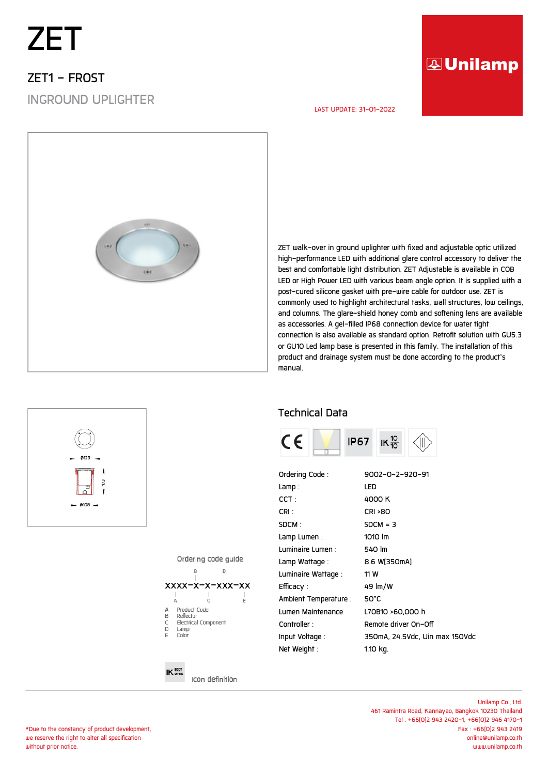# *ZET*

## *ZET1 - FROST INGROUND UPLIGHTER*

### **AUnilamp**

#### *LAST UPDATE: 31-01-2022*



*ZET walk-over in ground uplighter with fixed and adjustable optic utilized high-performance LED with additional glare control accessory to deliver the best and comfortable light distribution. ZET Adjustable is available in COB LED or High Power LED with various beam angle option. It is supplied with a post-cured silicone gasket with pre-wire cable for outdoor use. ZET is commonly used to highlight architectural tasks, wall structures, low ceilings, and columns. The glare-shield honey comb and softening lens are available as accessories. A gel-filled IP68 connection device for water tight connection is also available as standard option. Retrofit solution with GU5.3 or GU10 Led lamp base is presented in this family. The installation of this product and drainage system must be done according to the product's manual.*

#### *Technical Data*



| Ordering Code:        | 9002-0-2-920-91                |
|-----------------------|--------------------------------|
| Lamp :                | LED                            |
| CCT :                 | 4000 K                         |
| CRI :                 | <b>CRI &gt;80</b>              |
| SDCM :                | $SDCM = 3$                     |
| Lamp Lumen :          | 1010 lm                        |
| Luminaire Lumen :     | 540 lm                         |
| Lamp Wattage :        | 8.6 W[350mA]                   |
| Luminaire Wattage :   | 11 W                           |
| Efficacy :            | 49 lm/W                        |
| Ambient Temperature : | 50°C                           |
| Lumen Maintenance     | L70B10 >60.000 h               |
| Controller :          | Remote driver On-Off           |
| Input Voltage :       | 350mA, 24.5Vdc, Uin max 150Vdc |
| Net Weight :          | 1.10 kg.                       |

Ordering code quide



#### $IK^{\text{BODY}}_{\text{opTic}}$

Icon definition

m

 $q$ 108

*Unilamp Co., Ltd. 461 Ramintra Road, Kannayao, Bangkok 10230 Thailand Tel : +66(0)2 943 2420-1, +66(0)2 946 4170-1 Fax : +66(0)2 943 2419 online@unilamp.co.th www.unilamp.co.th*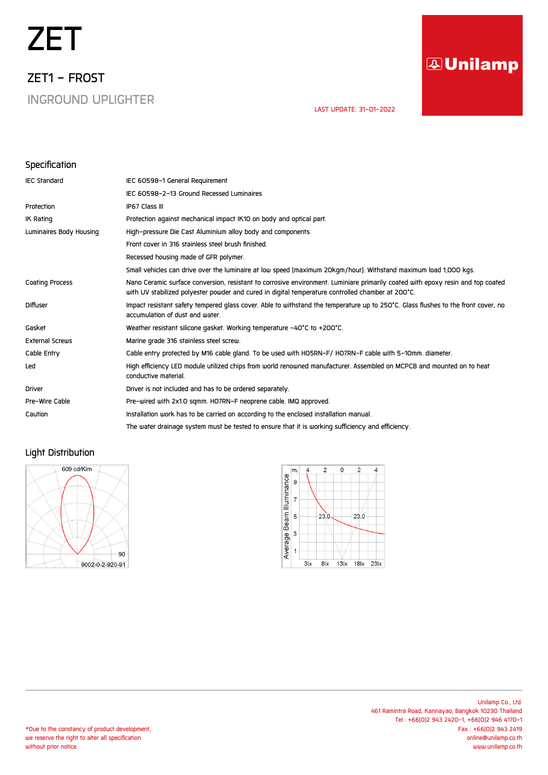# *ZET*

*ZET1 - FROST INGROUND UPLIGHTER*

# **AUnilamp**

 *LAST UPDATE: 31-01-2022* 

#### *Specification*

| <b>IEC Standard</b>     | IEC 60598-1 General Requirement                                                                                                                                                                                                      |
|-------------------------|--------------------------------------------------------------------------------------------------------------------------------------------------------------------------------------------------------------------------------------|
|                         | IEC 60598-2-13 Ground Recessed Luminaires                                                                                                                                                                                            |
| Protection              | IP67 Class III                                                                                                                                                                                                                       |
| <b>IK Rating</b>        | Protection against mechanical impact IK10 on body and optical part.                                                                                                                                                                  |
| Luminaires Body Housing | High-pressure Die Cast Aluminium alloy body and components.                                                                                                                                                                          |
|                         | Front cover in 316 stainless steel brush finished.                                                                                                                                                                                   |
|                         | Recessed housing made of GFR polymer.                                                                                                                                                                                                |
|                         | Small vehicles can drive over the luminaire at low speed (maximum 20kgm/hour). Withstand maximum load 1,000 kgs.                                                                                                                     |
| <b>Coating Process</b>  | Nano Ceramic surface conversion, resistant to corrosive environment. Luminiare primarily coated with epoxy resin and top coated<br>with UV stabilized polyester powder and cured in digital temperature controlled chamber at 200°C. |
| <b>Diffuser</b>         | Impact resistant safety tempered glass cover. Able to withstand the temperature up to 250°C. Glass flushes to the front cover, no<br>accumulation of dust and water.                                                                 |
| Gasket                  | Weather resistant silicone gasket. Working temperature -40°C to +200°C.                                                                                                                                                              |
| <b>External Screws</b>  | Marine grade 316 stainless steel screw.                                                                                                                                                                                              |
| Cable Entry             | Cable entry protected by M16 cable gland. To be used with HO5RN-F/ HO7RN-F cable with 5-10mm. diameter.                                                                                                                              |
| Led                     | High efficiency LED module utilized chips from world renowned manufacturer. Assembled on MCPCB and mounted on to heat<br>conductive material.                                                                                        |
| <b>Driver</b>           | Driver is not included and has to be ordered separately.                                                                                                                                                                             |
| Pre-Wire Cable          | Pre-wired with 2x1.0 sqmm. HO7RN-F neoprene cable. IMQ approved.                                                                                                                                                                     |
| Caution                 | Installation work has to be carried on according to the enclosed installation manual.                                                                                                                                                |
|                         | The water drainage system must be tested to ensure that it is working sufficiency and efficiency.                                                                                                                                    |

#### *Light Distribution*